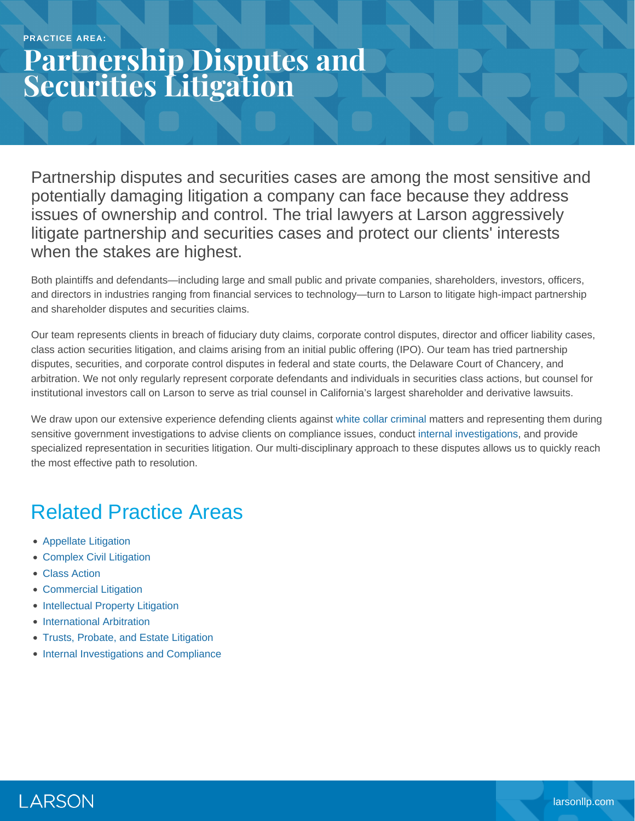## **Partnership Disputes and Securities Litigation**

Partnership disputes and securities cases are among the most sensitive and potentially damaging litigation a company can face because they address issues of ownership and control. The trial lawyers at Larson aggressively litigate partnership and securities cases and protect our clients' interests when the stakes are highest.

Both plaintiffs and defendants—including large and small public and private companies, shareholders, investors, officers, and directors in industries ranging from financial services to technology—turn to Larson to litigate high-impact partnership and shareholder disputes and securities claims.

Our team represents clients in breach of fiduciary duty claims, corporate control disputes, director and officer liability cases, class action securities litigation, and claims arising from an initial public offering (IPO). Our team has tried partnership disputes, securities, and corporate control disputes in federal and state courts, the Delaware Court of Chancery, and arbitration. We not only regularly represent corporate defendants and individuals in securities class actions, but counsel for institutional investors call on Larson to serve as trial counsel in California's largest shareholder and derivative lawsuits.

We draw upon our extensive experience defending clients against [white collar criminal](https://www.larsonllp.com/practice-areas/white-collar-defense-and-government-investigations/) matters and representing them during sensitive government investigations to advise clients on compliance issues, conduct [internal investigations,](https://www.larsonllp.com/practice-areas/internal-investigations-and-compliance/) and provide specialized representation in securities litigation. Our multi-disciplinary approach to these disputes allows us to quickly reach the most effective path to resolution.

## Related Practice Areas

- [Appellate Litigation](https://www.larsonllp.com/practice-areas/appellate-litigation/)
- [Complex Civil Litigation](https://www.larsonllp.com/practice-areas/complex-civil-litigation/)
- [Class Action](https://www.larsonllp.com/practice-areas/complex-civil-litigation/class-action/)
- [Commercial Litigation](https://www.larsonllp.com/practice-areas/complex-civil-litigation/commercial-litigation/)
- [Intellectual Property Litigation](https://www.larsonllp.com/practice-areas/complex-civil-litigation/intellectual-property-litigation/)
- [International Arbitration](https://www.larsonllp.com/practice-areas/complex-civil-litigation/international-arbitration/)
- [Trusts, Probate, and Estate Litigation](https://www.larsonllp.com/practice-areas/complex-civil-litigation/trusts-probate-and-estate-litigation/)
- [Internal Investigations and Compliance](https://www.larsonllp.com/practice-areas/internal-investigations-and-compliance/)

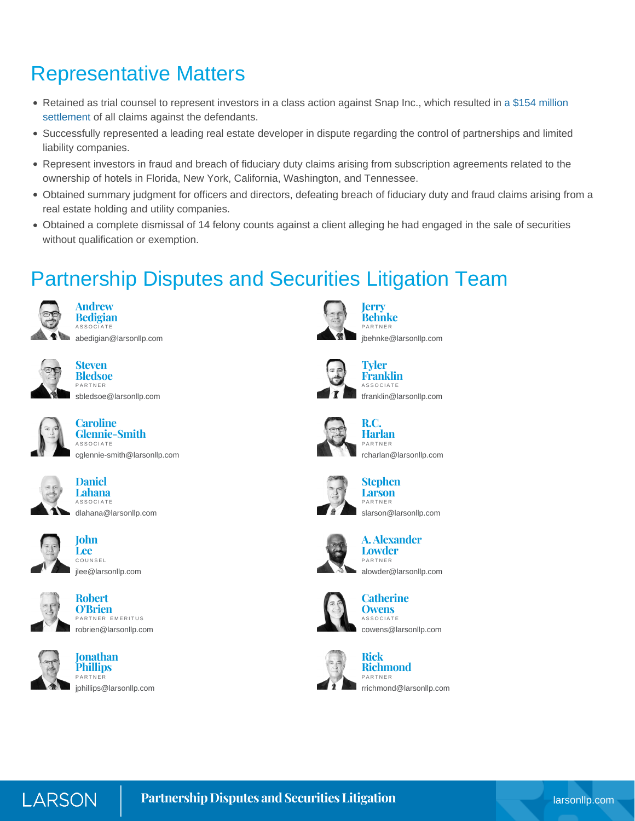## Representative Matters

- Retained as trial counsel to represent investors in a class action against Snap Inc., which resulted in [a \\$154 million](https://www.larsonllp.com/snap-ipo-class-action-draws-to-a-triumphant-close/) [settlement](https://www.larsonllp.com/snap-ipo-class-action-draws-to-a-triumphant-close/) of all claims against the defendants.
- Successfully represented a leading real estate developer in dispute regarding the control of partnerships and limited liability companies.
- Represent investors in fraud and breach of fiduciary duty claims arising from subscription agreements related to the ownership of hotels in Florida, New York, California, Washington, and Tennessee.
- Obtained summary judgment for officers and directors, defeating breach of fiduciary duty and fraud claims arising from a real estate holding and utility companies.
- Obtained a complete dismissal of 14 felony counts against a client alleging he had engaged in the sale of securities without qualification or exemption.

## Partnership Disputes and Securities Litigation Team



**Andrew Bedigian** ASSOCIATE

[abedigian@larsonllp.com](mailto:abedigian@larsonllp.com)



**Steven Bledsoe** PARTNER

[sbledsoe@larsonllp.com](mailto:sbledsoe@larsonllp.com)



**Caroline Glennie-Smith** ASSOCIATE [cglennie-smith@larsonllp.com](mailto:cglennie-smith@larsonllp.com)



**Lahana** ASSOCIATE [dlahana@larsonllp.com](mailto:dlahana@larsonllp.com)

**Daniel**



**John Lee** COUNSEL [jlee@larsonllp.com](mailto:jlee@larsonllp.com)



**Robert O'Brien** PARTNER EMERITUS [robrien@larsonllp.com](mailto:robrien@larsonllp.com)



**Jonathan Phillips** PARTNER [jphillips@larsonllp.com](mailto:jphillips@larsonllp.com)



**Jerry Behnke** PARTNER [jbehnke@larsonllp.com](mailto:jbehnke@larsonllp.com)



**Tyler Franklin** ASSOCIATE [tfranklin@larsonllp.com](mailto:tfranklin@larsonllp.com)



**R.C. Harlan** PARTNER [rcharlan@larsonllp.com](mailto:rcharlan@larsonllp.com)









**A. Alexander Lowder** PARTNER [alowder@larsonllp.com](mailto:alowder@larsonllp.com)



**Catherine Owens** ASSOCIATE [cowens@larsonllp.com](mailto:cowens@larsonllp.com)



**Rick Richmond** PARTNER [rrichmond@larsonllp.com](mailto:rrichmond@larsonllp.com)